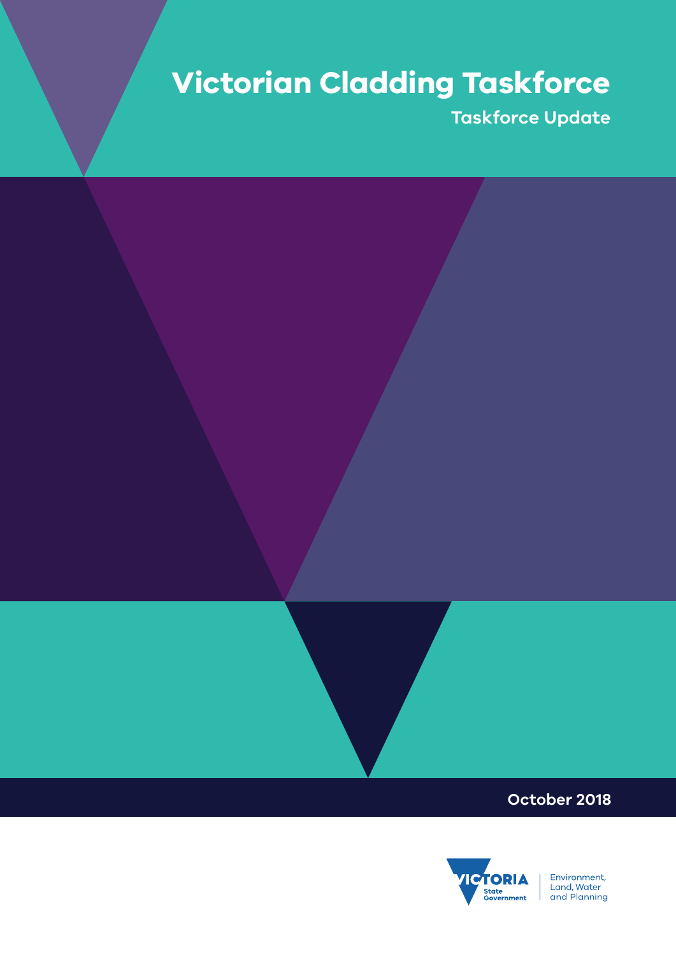# **Victorian Cladding Taskforce**

**Taskforce Update**

### **October 2018**



Environment,<br>Land, Water<br>and Planning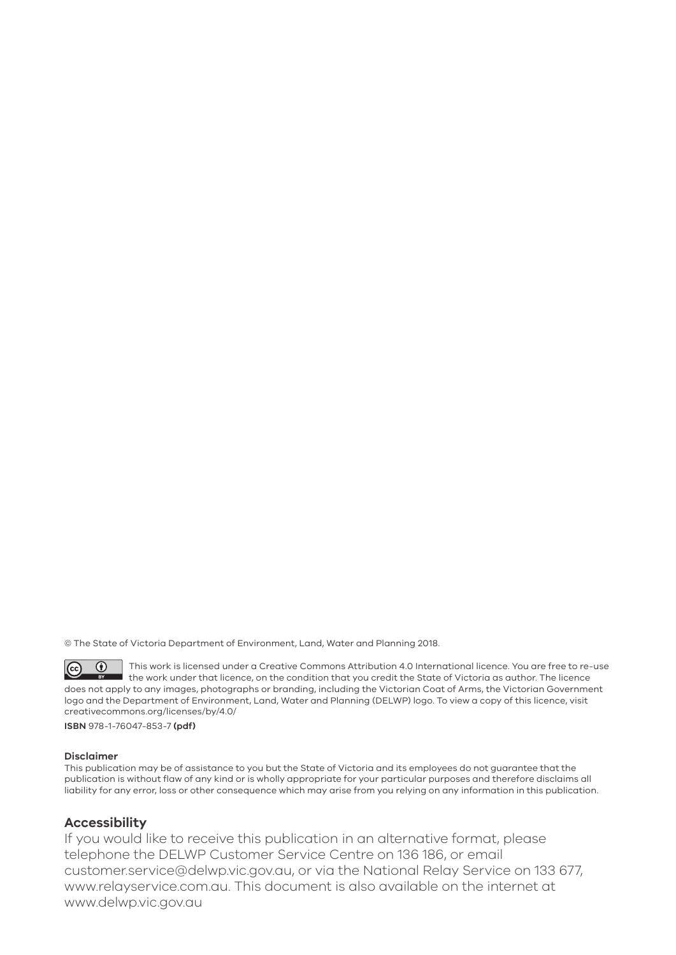© The State of Victoria Department of Environment, Land, Water and Planning 2018.

 $\overline{()}$ This work is licensed under a Creative Commons Attribution 4.0 International licence. You are free to re-use  $|$  (cc)  $\;\bar{ } \;$  the work under that licence, on the condition that you credit the State of Victoria as author. The licence does not apply to any images, photographs or branding, including the Victorian Coat of Arms, the Victorian Government logo and the Department of Environment, Land, Water and Planning (DELWP) logo. To view a copy of this licence, visit creativecommons.org/licenses/by/4.0/

**ISBN** 978-1-76047-853-7 **(pdf)**

#### **Disclaimer**

This publication may be of assistance to you but the State of Victoria and its employees do not guarantee that the publication is without flaw of any kind or is wholly appropriate for your particular purposes and therefore disclaims all liability for any error, loss or other consequence which may arise from you relying on any information in this publication.

#### **Accessibility**

If you would like to receive this publication in an alternative format, please telephone the DELWP Customer Service Centre on 136 186, or email customer.service@delwp.vic.gov.au, or via the National Relay Service on 133 677, www.relayservice.com.au. This document is also available on the internet at www.delwp.vic.gov.au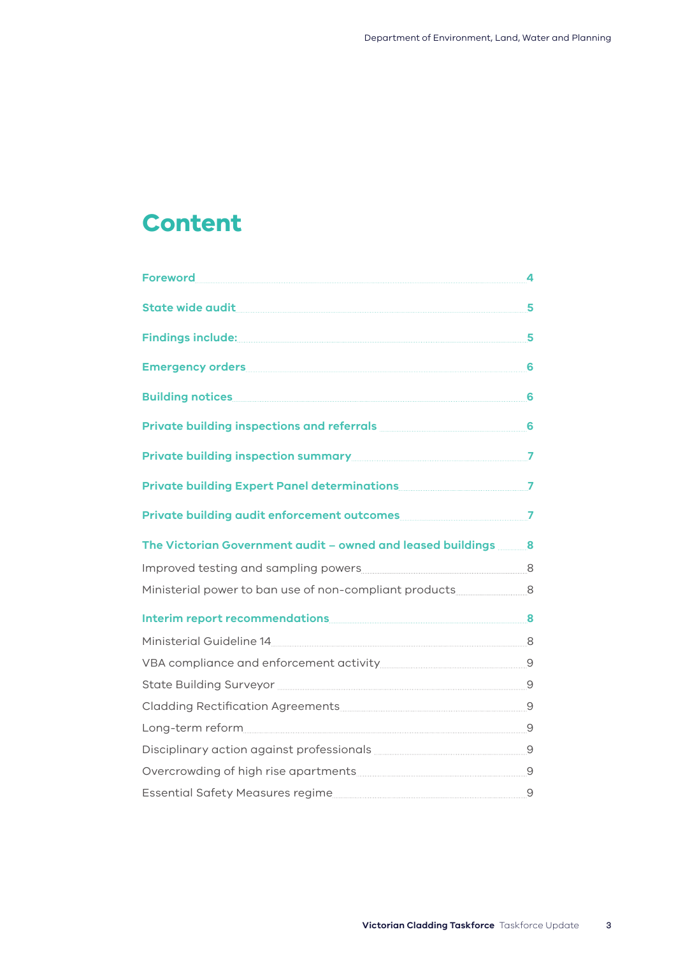# **Content**

| Foreword 4                                                                                                               |  |
|--------------------------------------------------------------------------------------------------------------------------|--|
| State wide audit 5                                                                                                       |  |
| Findings include: 5                                                                                                      |  |
| Emergency orders 6                                                                                                       |  |
|                                                                                                                          |  |
| Private building inspections and referrals <b>Executive Service Contract Contract Contract Contract Contract Control</b> |  |
|                                                                                                                          |  |
|                                                                                                                          |  |
|                                                                                                                          |  |
| The Victorian Government audit - owned and leased buildings 8                                                            |  |
|                                                                                                                          |  |
| Ministerial power to ban use of non-compliant products _________________________8                                        |  |
| Interim report recommendations 8                                                                                         |  |
| Ministerial Guideline 14 8                                                                                               |  |
|                                                                                                                          |  |
|                                                                                                                          |  |
|                                                                                                                          |  |
|                                                                                                                          |  |
| Disciplinary action against professionals <b>manually and all all an</b> 9                                               |  |
| Overcrowding of high rise apartments [11] Decrements and Dividing Overcrowding of high rise apartments of the            |  |
|                                                                                                                          |  |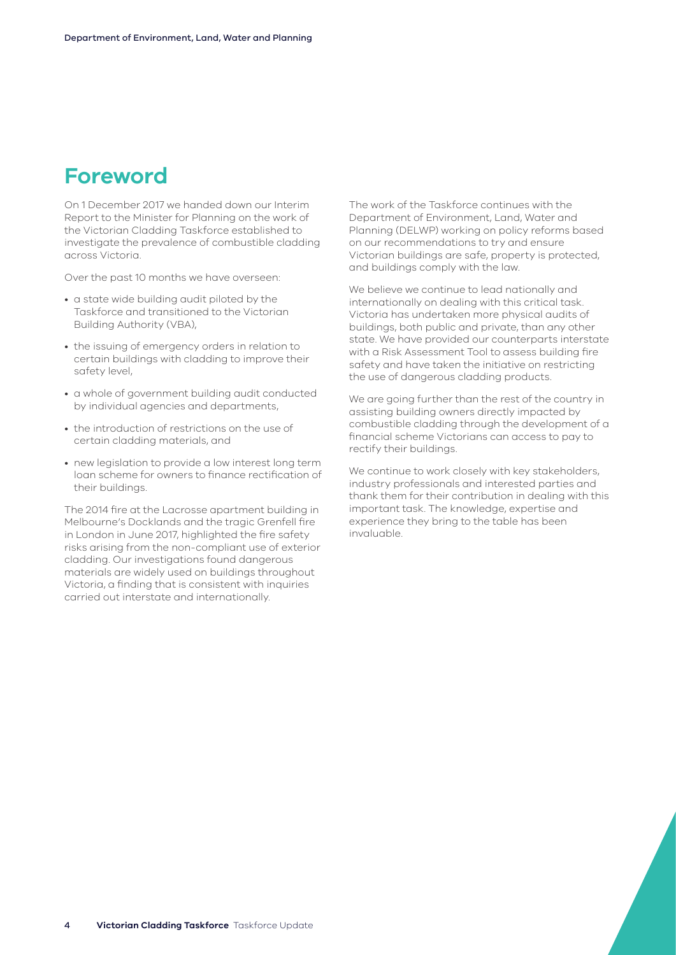### <span id="page-3-0"></span>**Foreword**

On 1 December 2017 we handed down our Interim Report to the Minister for Planning on the work of the Victorian Cladding Taskforce established to investigate the prevalence of combustible cladding across Victoria.

Over the past 10 months we have overseen:

- a state wide building audit piloted by the Taskforce and transitioned to the Victorian Building Authority (VBA),
- the issuing of emergency orders in relation to certain buildings with cladding to improve their safety level,
- a whole of government building audit conducted by individual agencies and departments,
- the introduction of restrictions on the use of certain cladding materials, and
- new legislation to provide a low interest long term loan scheme for owners to finance rectification of their buildings.

The 2014 fire at the Lacrosse apartment building in Melbourne's Docklands and the tragic Grenfell fire in London in June 2017, highlighted the fire safety risks arising from the non-compliant use of exterior cladding. Our investigations found dangerous materials are widely used on buildings throughout Victoria, a finding that is consistent with inquiries carried out interstate and internationally.

The work of the Taskforce continues with the Department of Environment, Land, Water and Planning (DELWP) working on policy reforms based on our recommendations to try and ensure Victorian buildings are safe, property is protected, and buildings comply with the law.

We believe we continue to lead nationally and internationally on dealing with this critical task. Victoria has undertaken more physical audits of buildings, both public and private, than any other state. We have provided our counterparts interstate with a Risk Assessment Tool to assess building fire safety and have taken the initiative on restricting the use of dangerous cladding products.

We are going further than the rest of the country in assisting building owners directly impacted by combustible cladding through the development of a financial scheme Victorians can access to pay to rectify their buildings.

We continue to work closely with key stakeholders, industry professionals and interested parties and thank them for their contribution in dealing with this important task. The knowledge, expertise and experience they bring to the table has been invaluable.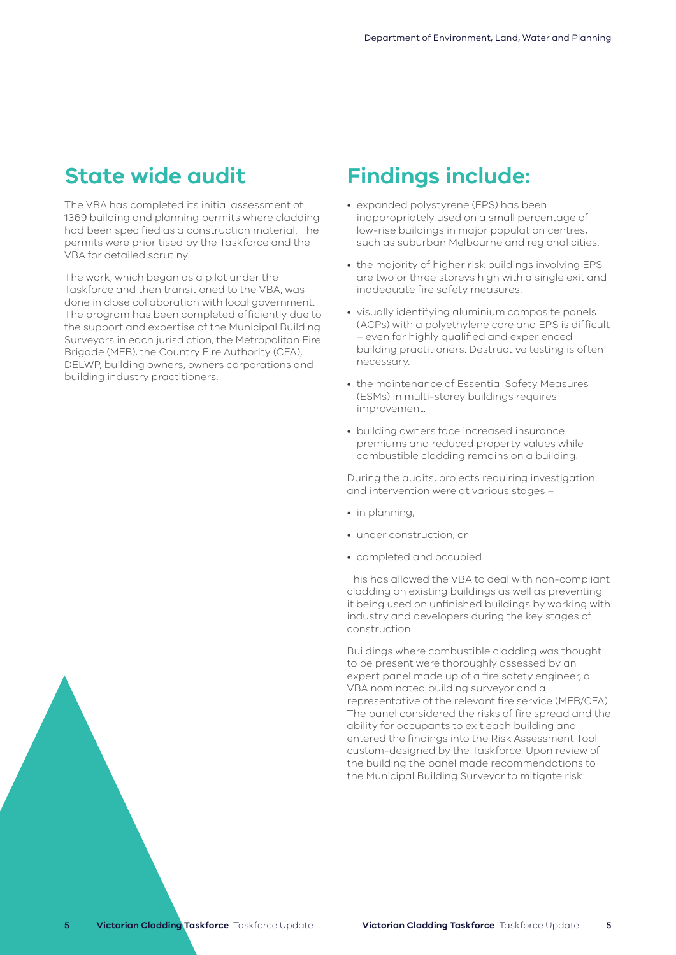### <span id="page-4-0"></span>**State wide audit**

The VBA has completed its initial assessment of 1369 building and planning permits where cladding had been specified as a construction material. The permits were prioritised by the Taskforce and the VBA for detailed scrutiny.

The work, which began as a pilot under the Taskforce and then transitioned to the VBA, was done in close collaboration with local government. The program has been completed efficiently due to the support and expertise of the Municipal Building Surveyors in each jurisdiction, the Metropolitan Fire Brigade (MFB), the Country Fire Authority (CFA), DELWP, building owners, owners corporations and building industry practitioners.

### **Findings include:**

- expanded polystyrene (EPS) has been inappropriately used on a small percentage of low-rise buildings in major population centres, such as suburban Melbourne and regional cities.
- the majority of higher risk buildings involving EPS are two or three storeys high with a single exit and inadequate fire safety measures.
- visually identifying aluminium composite panels (ACPs) with a polyethylene core and EPS is difficult – even for highly qualified and experienced building practitioners. Destructive testing is often necessary.
- the maintenance of Essential Safety Measures (ESMs) in multi-storey buildings requires improvement.
- building owners face increased insurance premiums and reduced property values while combustible cladding remains on a building.

During the audits, projects requiring investigation and intervention were at various stages –

- in planning,
- under construction, or
- completed and occupied.

This has allowed the VBA to deal with non-compliant cladding on existing buildings as well as preventing it being used on unfinished buildings by working with industry and developers during the key stages of construction.

Buildings where combustible cladding was thought to be present were thoroughly assessed by an expert panel made up of a fire safety engineer, a VBA nominated building surveyor and a representative of the relevant fire service (MFB/CFA). The panel considered the risks of fire spread and the ability for occupants to exit each building and entered the findings into the Risk Assessment Tool custom-designed by the Taskforce. Upon review of the building the panel made recommendations to the Municipal Building Surveyor to mitigate risk.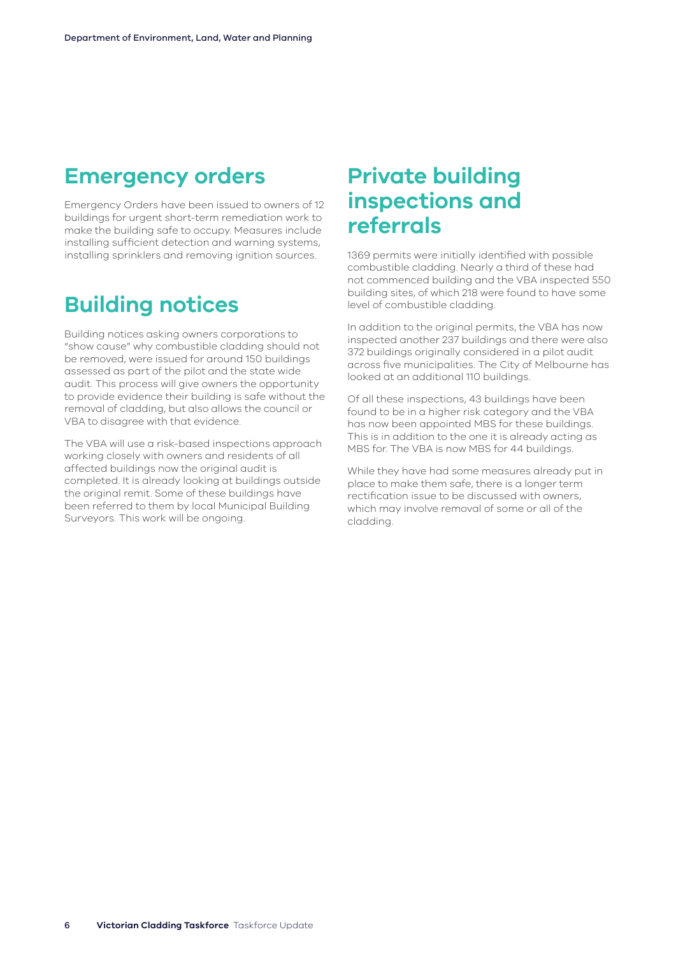### <span id="page-5-0"></span>**Emergency orders**

Emergency Orders have been issued to owners of 12 buildings for urgent short-term remediation work to make the building safe to occupy. Measures include installing sufficient detection and warning systems, installing sprinklers and removing ignition sources.

### **Building notices**

Building notices asking owners corporations to "show cause" why combustible cladding should not be removed, were issued for around 150 buildings assessed as part of the pilot and the state wide audit. This process will give owners the opportunity to provide evidence their building is safe without the removal of cladding, but also allows the council or VBA to disagree with that evidence.

The VBA will use a risk-based inspections approach working closely with owners and residents of all affected buildings now the original audit is completed. It is already looking at buildings outside the original remit. Some of these buildings have been referred to them by local Municipal Building Surveyors. This work will be ongoing.

### **Private building inspections and referrals**

1369 permits were initially identified with possible combustible cladding. Nearly a third of these had not commenced building and the VBA inspected 550 building sites, of which 218 were found to have some level of combustible cladding.

In addition to the original permits, the VBA has now inspected another 237 buildings and there were also 372 buildings originally considered in a pilot audit across five municipalities. The City of Melbourne has looked at an additional 110 buildings.

Of all these inspections, 43 buildings have been found to be in a higher risk category and the VBA has now been appointed MBS for these buildings. This is in addition to the one it is already acting as MBS for. The VBA is now MBS for 44 buildings.

While they have had some measures already put in place to make them safe, there is a longer term rectification issue to be discussed with owners, which may involve removal of some or all of the cladding.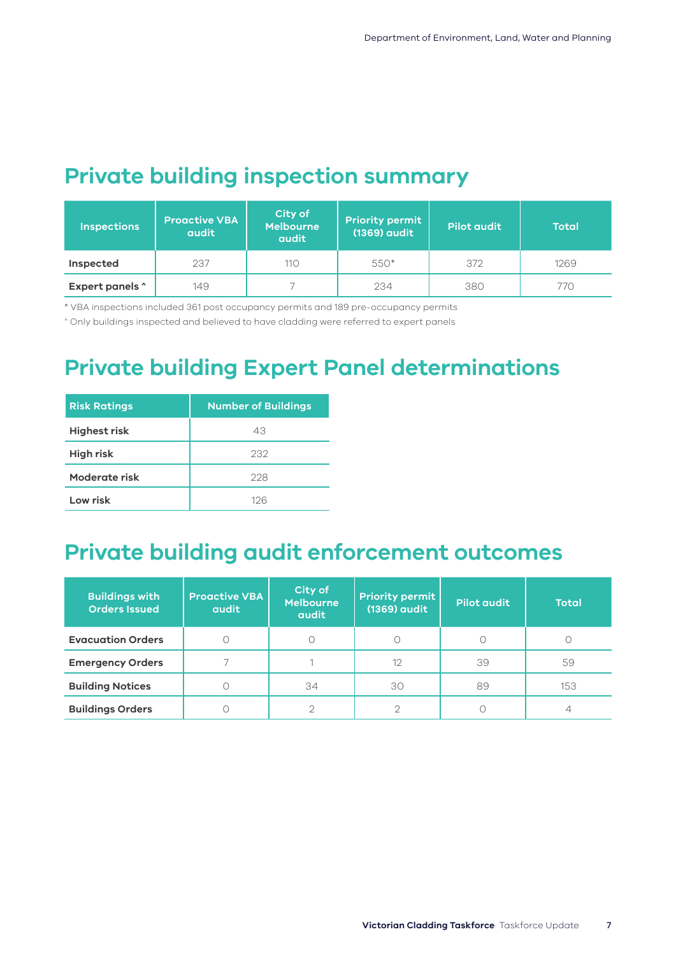## <span id="page-6-0"></span>**Private building inspection summary**

| <b>Inspections</b> | <b>Proactive VBA</b><br><b>audit</b> | City of<br><b>Melbourne</b><br><b>audit</b> | <b>Priority permit</b><br>(1369) audit | <b>Pilot audit</b> | <b>Total</b> |
|--------------------|--------------------------------------|---------------------------------------------|----------------------------------------|--------------------|--------------|
| Inspected          | 237                                  | 110                                         | 550*                                   | 372                | 1269         |
| Expert panels ^    | 149                                  |                                             | 234                                    | 380                | 770          |

\* VBA inspections included 361 post occupancy permits and 189 pre-occupancy permits

^ Only buildings inspected and believed to have cladding were referred to expert panels

### **Private building Expert Panel determinations**

| <b>Risk Ratings</b> | <b>Number of Buildings</b> |
|---------------------|----------------------------|
| <b>Highest risk</b> | 43                         |
| <b>High risk</b>    | 232                        |
| Moderate risk       | 228                        |
| Low risk            | 126                        |

### **Private building audit enforcement outcomes**

| <b>Buildings with</b><br><b>Orders Issued</b> | <b>Proactive VBA</b><br><b>audit</b> | City of<br><b>Melbourne</b><br><b>audit</b> | <b>Priority permit</b><br>(1369) audit | Pilot audit | <b>Total</b> |
|-----------------------------------------------|--------------------------------------|---------------------------------------------|----------------------------------------|-------------|--------------|
| <b>Evacuation Orders</b>                      |                                      |                                             |                                        |             |              |
| <b>Emergency Orders</b>                       |                                      |                                             | 12                                     | 39          | 59           |
| <b>Building Notices</b>                       |                                      | 34                                          | 30                                     | 89          | 153          |
| <b>Buildings Orders</b>                       |                                      |                                             |                                        |             |              |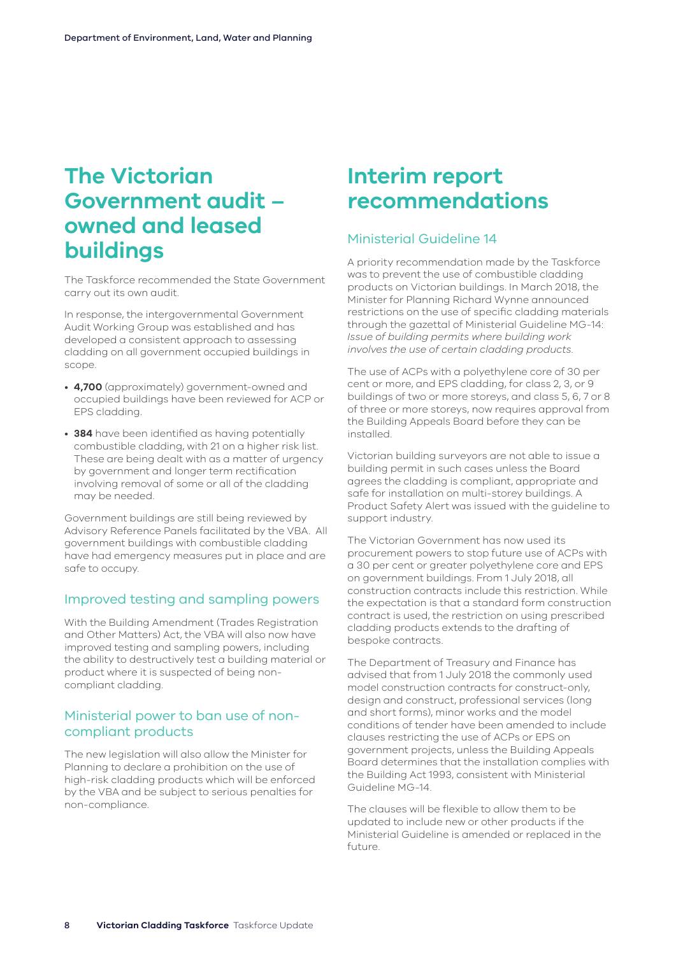### <span id="page-7-0"></span>**The Victorian Government audit – owned and leased buildings**

The Taskforce recommended the State Government carry out its own audit.

In response, the intergovernmental Government Audit Working Group was established and has developed a consistent approach to assessing cladding on all government occupied buildings in scope.

- **4,700** (approximately) government-owned and occupied buildings have been reviewed for ACP or EPS cladding.
- **384** have been identified as having potentially combustible cladding, with 21 on a higher risk list. These are being dealt with as a matter of urgency by government and longer term rectification involving removal of some or all of the cladding may be needed.

Government buildings are still being reviewed by Advisory Reference Panels facilitated by the VBA. All government buildings with combustible cladding have had emergency measures put in place and are safe to occupy.

#### Improved testing and sampling powers

With the Building Amendment (Trades Registration and Other Matters) Act, the VBA will also now have improved testing and sampling powers, including the ability to destructively test a building material or product where it is suspected of being noncompliant cladding.

#### Ministerial power to ban use of noncompliant products

The new legislation will also allow the Minister for Planning to declare a prohibition on the use of high-risk cladding products which will be enforced by the VBA and be subject to serious penalties for non-compliance.

### **Interim report recommendations**

#### Ministerial Guideline 14

A priority recommendation made by the Taskforce was to prevent the use of combustible cladding products on Victorian buildings. In March 2018, the Minister for Planning Richard Wynne announced restrictions on the use of specific cladding materials through the gazettal of Ministerial Guideline MG-14: *Issue of building permits where building work involves the use of certain cladding products*.

The use of ACPs with a polyethylene core of 30 per cent or more, and EPS cladding, for class 2, 3, or 9 buildings of two or more storeys, and class 5, 6, 7 or 8 of three or more storeys, now requires approval from the Building Appeals Board before they can be installed.

Victorian building surveyors are not able to issue a building permit in such cases unless the Board agrees the cladding is compliant, appropriate and safe for installation on multi-storey buildings. A Product Safety Alert was issued with the guideline to support industry.

The Victorian Government has now used its procurement powers to stop future use of ACPs with a 30 per cent or greater polyethylene core and EPS on government buildings. From 1 July 2018, all construction contracts include this restriction. While the expectation is that a standard form construction contract is used, the restriction on using prescribed cladding products extends to the drafting of bespoke contracts.

The Department of Treasury and Finance has advised that from 1 July 2018 the commonly used model construction contracts for construct-only, design and construct, professional services (long and short forms), minor works and the model conditions of tender have been amended to include clauses restricting the use of ACPs or EPS on government projects, unless the Building Appeals Board determines that the installation complies with the Building Act 1993, consistent with Ministerial Guideline MG-14.

The clauses will be flexible to allow them to be updated to include new or other products if the Ministerial Guideline is amended or replaced in the future.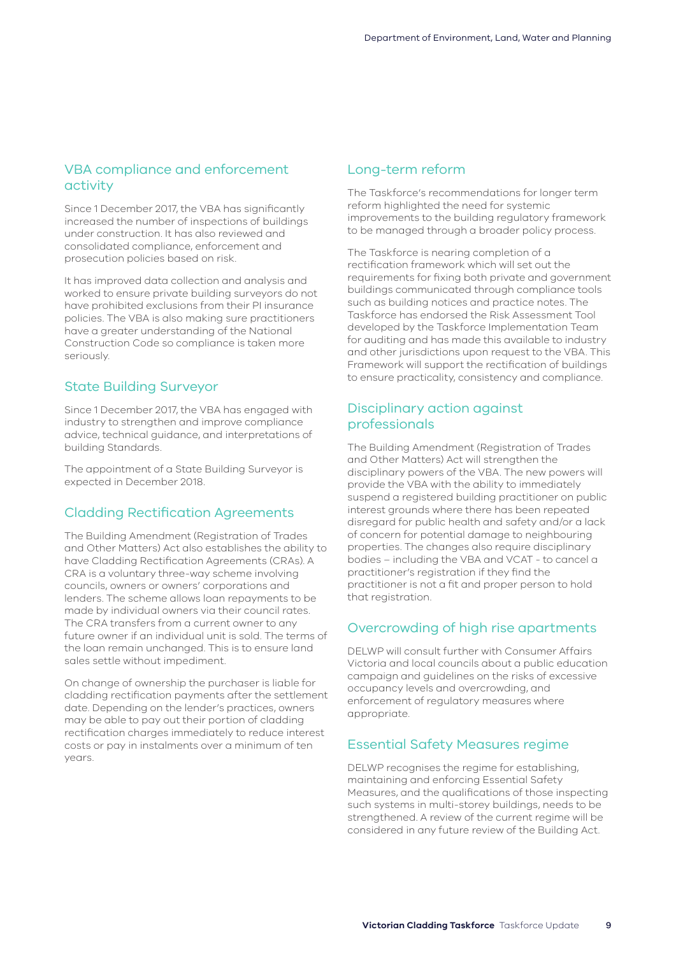#### <span id="page-8-0"></span>VBA compliance and enforcement activity

Since 1 December 2017, the VBA has significantly increased the number of inspections of buildings under construction. It has also reviewed and consolidated compliance, enforcement and prosecution policies based on risk.

It has improved data collection and analysis and worked to ensure private building surveyors do not have prohibited exclusions from their PI insurance policies. The VBA is also making sure practitioners have a greater understanding of the National Construction Code so compliance is taken more seriously.

#### State Building Surveyor

Since 1 December 2017, the VBA has engaged with industry to strengthen and improve compliance advice, technical guidance, and interpretations of building Standards.

The appointment of a State Building Surveyor is expected in December 2018.

#### Cladding Rectification Agreements

The Building Amendment (Registration of Trades and Other Matters) Act also establishes the ability to have Cladding Rectification Agreements (CRAs). A CRA is a voluntary three-way scheme involving councils, owners or owners' corporations and lenders. The scheme allows loan repayments to be made by individual owners via their council rates. The CRA transfers from a current owner to any future owner if an individual unit is sold. The terms of the loan remain unchanged. This is to ensure land sales settle without impediment.

On change of ownership the purchaser is liable for cladding rectification payments after the settlement date. Depending on the lender's practices, owners may be able to pay out their portion of cladding rectification charges immediately to reduce interest costs or pay in instalments over a minimum of ten years.

#### Long-term reform

The Taskforce's recommendations for longer term reform highlighted the need for systemic improvements to the building regulatory framework to be managed through a broader policy process.

The Taskforce is nearing completion of a rectification framework which will set out the requirements for fixing both private and government buildings communicated through compliance tools such as building notices and practice notes. The Taskforce has endorsed the Risk Assessment Tool developed by the Taskforce Implementation Team for auditing and has made this available to industry and other jurisdictions upon request to the VBA. This Framework will support the rectification of buildings to ensure practicality, consistency and compliance.

#### Disciplinary action against professionals

The Building Amendment (Registration of Trades and Other Matters) Act will strengthen the disciplinary powers of the VBA. The new powers will provide the VBA with the ability to immediately suspend a registered building practitioner on public interest grounds where there has been repeated disregard for public health and safety and/or a lack of concern for potential damage to neighbouring properties. The changes also require disciplinary bodies – including the VBA and VCAT - to cancel a practitioner's registration if they find the practitioner is not a fit and proper person to hold that registration.

#### Overcrowding of high rise apartments

DELWP will consult further with Consumer Affairs Victoria and local councils about a public education campaign and guidelines on the risks of excessive occupancy levels and overcrowding, and enforcement of regulatory measures where appropriate.

#### Essential Safety Measures regime

DELWP recognises the regime for establishing, maintaining and enforcing Essential Safety Measures, and the qualifications of those inspecting such systems in multi-storey buildings, needs to be strengthened. A review of the current regime will be considered in any future review of the Building Act.